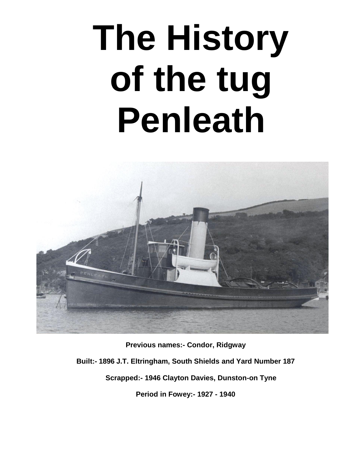## **The History of the tug Penleath**



**Previous names:- Condor, Ridgway Built:- 1896 J.T. Eltringham, South Shields and Yard Number 187 Scrapped:- 1946 Clayton Davies, Dunston-on Tyne Period in Fowey:- 1927 - 1940**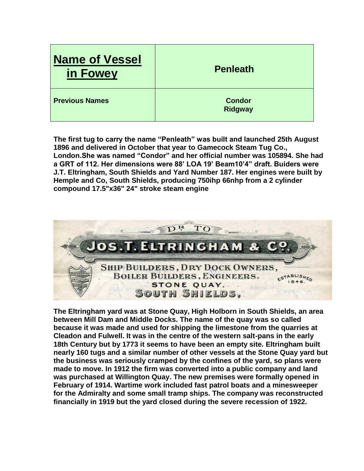| <b>Name of Vessel</b><br>in Fowey | <b>Penleath</b>                 |
|-----------------------------------|---------------------------------|
| <b>Previous Names</b>             | <b>Condor</b><br><b>Ridgway</b> |

**The first tug to carry the name "Penleath" was built and launched 25th August 1896 and delivered in October that year to Gamecock Steam Tug Co., London.She was named "Condor" and her official number was 105894. She had a GRT of 112. Her dimensions were 88' LOA 19' Beam10'4" draft. Buiders were J.T. Eltringham, South Shields and Yard Number 187. Her engines were built by Hemple and Co, South Shields, producing 750ihp 66nhp from a 2 cylinder compound 17.5"x36" 24" stroke steam engine**



**The Eltringham yard was at Stone Quay, High Holborn in South Shields, an area between Mill Dam and Middle Docks. The name of the quay was so called because it was made and used for shipping the limestone from the quarries at Cleadon and Fulwell. It was in the centre of the western salt-pans in the early 18th Century but by 1773 it seems to have been an empty site. Eltringham built nearly 160 tugs and a similar number of other vessels at the Stone Quay yard but the business was seriously cramped by the confines of the yard, so plans were made to move. In 1912 the firm was converted into a public company and land was purchased at Willington Quay. The new premises were formally opened in February of 1914. Wartime work included fast patrol boats and a minesweeper for the Admiralty and some small tramp ships. The company was reconstructed financially in 1919 but the yard closed during the severe recession of 1922.**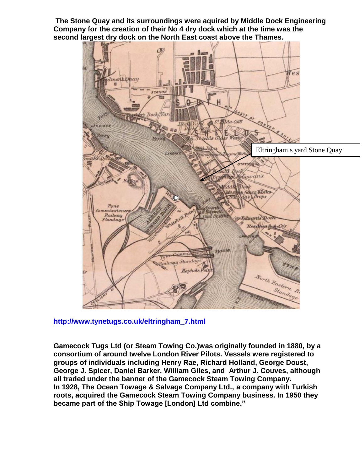**The Stone Quay and its surroundings were aquired by Middle Dock Engineering Company for the creation of their No 4 dry dock which at the time was the second largest dry dock on the North East coast above the Thames.**



**[http://www.tynetugs.co.uk/eltringham\\_7.html](http://www.tynetugs.co.uk/eltringham_7.html)**

**Gamecock Tugs Ltd (or Steam Towing Co.)was originally founded in 1880, by a consortium of around twelve London River Pilots. Vessels were registered to groups of individuals including Henry Rae, Richard Holland, George Doust, George J. Spicer, Daniel Barker, William Giles, and Arthur J. Couves, although all traded under the banner of the Gamecock Steam Towing Company. In 1928, The Ocean Towage & Salvage Company Ltd., a company with Turkish roots, acquired the Gamecock Steam Towing Company business. In 1950 they became part of the Ship Towage [London] Ltd combine."**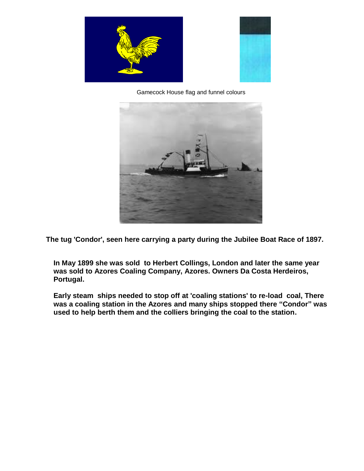



Gamecock House flag and funnel colours



**The tug 'Condor', seen here carrying a party during the Jubilee Boat Race of 1897.**

**In May 1899 she was sold to Herbert Collings, London and later the same year was sold to Azores Coaling Company, Azores. Owners Da Costa Herdeiros, Portugal.** 

**Early steam ships needed to stop off at 'coaling stations' to re-load coal, There was a coaling station in the Azores and many ships stopped there "Condor" was used to help berth them and the colliers bringing the coal to the station.**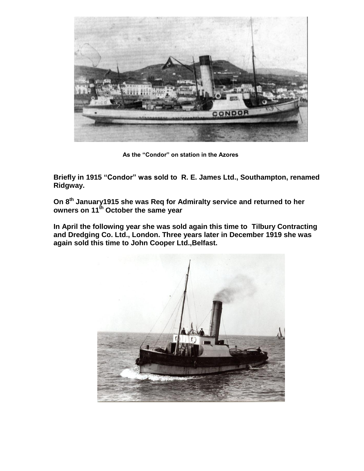

**As the "Condor" on station in the Azores**

**Briefly in 1915 "Condor" was sold to R. E. James Ltd., Southampton, renamed Ridgway.**

**On 8th January1915 she was Req for Admiralty service and returned to her owners on 11th October the same year** 

**In April the following year she was sold again this time to Tilbury Contracting and Dredging Co. Ltd., London. Three years later in December 1919 she was again sold this time to John Cooper Ltd.,Belfast.**

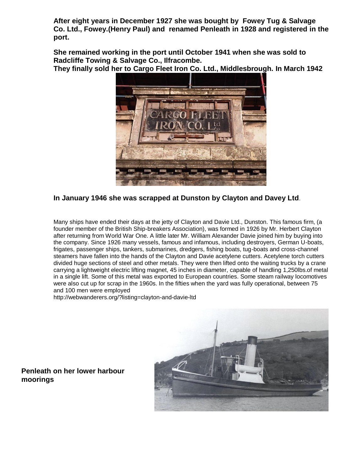**After eight years in December 1927 she was bought by Fowey Tug & Salvage Co. Ltd., Fowey.(Henry Paul) and renamed Penleath in 1928 and registered in the port.**

**She remained working in the port until October 1941 when she was sold to Radcliffe Towing & Salvage Co., Ilfracombe.**

**They finally sold her to Cargo Fleet Iron Co. Ltd., Middlesbrough. In March 1942** 



**In January 1946 she was scrapped at Dunston by Clayton and Davey Ltd**.

Many ships have ended their days at the jetty of Clayton and Davie Ltd., Dunston. This famous firm, (a founder member of the British Ship-breakers Association), was formed in 1926 by Mr. Herbert Clayton after returning from World War One. A little later Mr. William Alexander Davie joined him by buying into the company. Since 1926 many vessels, famous and infamous, including destroyers, German U-boats, frigates, passenger ships, tankers, submarines, dredgers, fishing boats, tug-boats and cross-channel steamers have fallen into the hands of the Clayton and Davie acetylene cutters. Acetylene torch cutters divided huge sections of steel and other metals. They were then lifted onto the waiting trucks by a crane carrying a lightweight electric lifting magnet, 45 inches in diameter, capable of handling 1,250lbs.of metal in a single lift. Some of this metal was exported to European countries. Some steam railway locomotives were also cut up for scrap in the 1960s. In the fifties when the yard was fully operational, between 75 and 100 men were employed

http://webwanderers.org/?listing=clayton-and-davie-ltd



## **Penleath on her lower harbour moorings**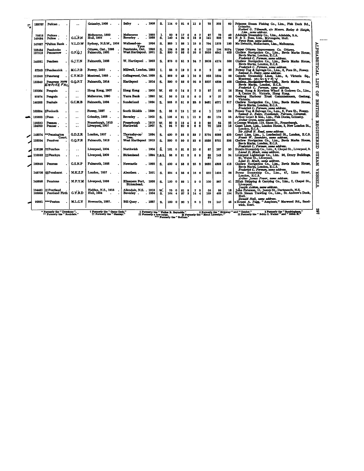| 122707           | Pelican                                                      |                      | Grimsby, 1905                                                                    | Selby<br>. 1905                                                 | S.                          | 114 0      |                           | 216      |                   | 11 2            |                           | 78               | 205                               | 60          | Princess Steam Fishing Co., Lim., Fish Dock Rd.,<br>Grimsby.<br>Herbert G. Tilmouth, clo Messrs. Beeley & Sleight,                           |  |
|------------------|--------------------------------------------------------------|----------------------|----------------------------------------------------------------------------------|-----------------------------------------------------------------|-----------------------------|------------|---------------------------|----------|-------------------|-----------------|---------------------------|------------------|-----------------------------------|-------------|----------------------------------------------------------------------------------------------------------------------------------------------|--|
| 79518<br>149024  | Pelican.<br>Pelton.                                          | <b>G.L.F.N</b>       | Melbourne, 1880<br>Hull, 1925                                                    | Melbourne<br>. 1880<br>. 1925<br>Beverley.                      | 1.<br>S.                    | 80<br>140  | 2<br>$\blacktriangleleft$ | 17<br>24 | 0<br>0            | 6<br>18         | 7<br>я                    | 37<br>141        | 70<br>358                         | 40<br>96    | Lim., same address.<br>Adelaide Steamship Co., Lim., Adelaide, S.A.<br>F. & T. Ross, Lim., Mytongate, Hull.                                  |  |
| 147687           | *Pelton Bank                                                 | <b>V.L.D.W</b>       | Sydney, N.S.W., 1934                                                             | 1934<br>Wallsend-on-                                            | S.                          | 235        | $\mathbf{1}$              | 36       | 1                 | 15              | - 3                       | 794              | 1375                              | 120         | Percy Ross, same address.<br>Mc Ilwraith, McEacharn, Lim., Melbourne.                                                                        |  |
| 103434<br>137213 | Pembroke<br>Pencarrow                                        | G.F.Q.J              | Ottawa, Ont., 1895<br><b>Falmouth, 1921</b>                                      | Tyne<br>1895<br>Pembroke, Ont.<br>1921<br>West Hartlepool.      | S.<br>S.                    | 104<br>890 | Б<br>0                    | 28<br>53 | 2<br>$\mathbf{0}$ | 6<br>26         | 6<br>8                    | 122<br>2955      | 194<br>4841                       | 30Pa<br>402 | <b>ALPHABETICAL</b><br>Upper Ottawa Improvemen Co. Ottawa.<br>Chellew Navigation Co., Lim., Bevis Marks House, Bevis Marks, London, E.C.3.   |  |
| 146881           | Pendeen                                                      | G.J.T.N              | <b>Falmouth, 1928</b>                                                            | W. Hartlepool . 1923                                            | S.                          | 875        | o                         | 51 2     |                   | 24 7            |                           | 2508             | 4174                              | 386         | Frederick C. Perman, same address.<br>Chellew Navigation Co., Lim., Bevis Marks House,<br>Bevis Marks, London, E.C.3.                        |  |
| 87063            | † Pendennick                                                 | M.C.P.B              | <b>Fowey, 1930</b>                                                               | Millwall, London. 1883                                          | L                           | 85         | $\bf{0}$                  | 19       | $\Omega$          |                 | 6                         | $\boldsymbol{2}$ | 88                                | 60          | Frederick C. Perman, same address.<br>Fowey Tug & Salvage Co., Lim., 6, Fore St., Fowey.<br>Samuel A. Buley, same address.                   |  |
| 151046           | !!Penetang                                                   | C.Y.M.D              | Montreal, 1935.                                                                  | Collingwood, Ont. 1925                                          | S.                          | 252        | $\Omega$                  | 48       | п                 | 16              | я                         | 988              | 1824                              | 95          | Canada Steamship Lines, Lim., 9, Victoria Sq.,<br>Montreal. MINISTRY                                                                         |  |
| 133349           | Pengreep Nov<br>EMPIRE FAL                                   | G.Q.P.T              | Falmouth, 1914                                                                   | Hartlepool<br>. 1914                                            | S.                          | 390        | $\mathbf 0$               | 52       | $\mathbf 0$       | 26              | 9                         | 3007             | 4806                              | 402         | LISIT<br>Chellew Navigation Co., Lim., Bevis Marks House,<br>Bevis Marks, London, E.C.3.<br>Frederick C. Perman, same address.               |  |
| 123084           | Penguin                                                      | $\ddot{\phantom{0}}$ | Hong Kong, 1907                                                                  | . 1900<br><b>Hong Kong</b>                                      | w.                          | 62         | 0                         | 14       | Б                 | 7               | 0                         | 27               | 51                                | 16          | Hong Kong & Kowloon Wharf & Godown Co., Lim.,<br>ទី<br>2, Centre St. Victoria, Hong Kong.                                                    |  |
| 95974            | Penguin                                                      |                      | Melbourne, 1890                                                                  | Yarra Bank<br>. 1890                                            | w.                          | 56         | $\Omega$                  | 12       | 0                 | 6               | $\bf{0}$                  | $\mathbf{Q}$     | 27                                | 20          | Geelong Harbour Trust Commissioners, Geelong,<br>Victoria.                                                                                   |  |
| 146388           | Penhale                                                      | C.C.M.B              | <b>Falmouth, 1924</b>                                                            | Sunderland<br>. 1924                                            | S.                          | 365        | $\mathbf 0$               | 51       | -5                | 23. 8           |                           | 2451             | 4071                              | 817         | <b>BRITISH</b><br>Chellew Navigation Co., Lim., Bevis Marks House,<br>Bevis Marks, London, E.C.3.<br>Frederick C. Perman, same address.      |  |
| 105894           | 8Penleath                                                    | $\cdot$ .            | <b>Fowey, 1927</b>                                                               | <b>South Shields</b><br>. 1896                                  | S.                          | 88         | $\mathbf 0$               | 19       | 1                 | 10 <sub>4</sub> |                           | 1                | 112                               | 66          | Fowey Tug & Salvage Co., Lim., 6, Fore St., Fowey.<br>Samuel A. Buley, Headlands, Polruan, Cornwall.                                         |  |
| 122688           | Penn                                                         |                      | Grimsby, 1905                                                                    | Beverley .<br>. 1905                                            | S.                          | 108        |                           | 21       | 1                 | 11 2            |                           | 69               | 179                               | 55          | Arthur Grant & Son., Lim., Fish Docks, Grimsby,<br>Arthur Grant, same address.                                                               |  |
| 125330<br>124099 | Pennan.<br>Pennar.                                           | <br>                 | Fraserburgh, 1910<br>Liverpool, 1907                                             | Fraserburgh<br>. 1910<br>Northwich<br>. 1907                    | w.<br>S.                    | 80<br>94   | 7                         | 18<br>20 | 6                 | я<br>6          | л<br>6                    | 26<br>70         | 64<br>132                         | 23<br>18    | REGISTERED<br>George Walker, 119, Shore St., Fraserburgh.<br>Coast Lines, Lim., London House, 8, New London St.,<br>London, E.C.3.           |  |
| 148274           | **Pennington                                                 | G.D.Z.R              | London, 1927                                                                     | Thornaby-on-<br>1994                                            | S.                          | 400        | $\Omega$                  | 53       | $\mathbf 0$       | 33              | $\mathbf{7}$              | 3774             | 6098                              | 425         | Sir Alfred H. Read, same address.<br>Court Line, Lim., 1, Leadenhall St., London, B.C.3.                                                     |  |
| 133334           | Court.<br>Penolver                                           | G.Q.P.R              | <b>Falmouth, 1913</b>                                                            | Tees.<br>West Hartlepool 1912                                   | S.                          | 350        | $\mathbf{0}$              | 50       | $\mathbf{0}$      | 23              | -6                        | 2338             | 3721                              | 336         | Frank W. Saunders, same address.<br>Chellew Navigation Co., Lim., Bevis Marks House,<br>Bevis Marks, London, E.C.3.                          |  |
| 118125           | <b>ttPenrhos</b>                                             | $\cdot$ $\cdot$      | Liverpool, 1904                                                                  | Northwich<br>. 1904                                             | š.                          | 101        | 0                         | 21       | R                 | 10              |                           | 87               | 187                               | 80          | Frederick C. Perman, same address.<br>Straits Steamship Co., Lim., 5, Chapel St., Liverpool, 3.                                              |  |
| 110553           | :1Penrhvn                                                    |                      | Liverpool, 1909                                                                  | <b>Birkenhead</b><br>. 1894                                     | I.&S.                       | 86         | O                         | 21       |                   | 8               | 9                         | 88               | 143                               | 24          | Lionel D. Mack, same address.<br><b>STEAM</b><br>Liverpool Lighterage Co., Lim. 26, Drury Buildings,<br>31. Water St., Liverpool.            |  |
| 160949           | Penrose                                                      | <b>G.S.N.P</b>       | <b>Falmouth, 1928</b>                                                            | . 1928<br>Newcastle                                             | s.                          | 400        |                           | 53       | $\mathbf 0$       | 25              | 8                         | 2630             | 4393                              | 413         | Lovel D. Mack, same address.<br>Chellew Navigation Co., Lim., Bevis Marks House,<br>Bevis Marks, London, E.C.3.                              |  |
| 145708           | <b>§§Penshurst</b>                                           | M.K.Z.F              | London, 1937                                                                     | Aberdeen<br>. 1921                                              | S.                          | 234        | 4                         | 35       | 6                 | 16 6            |                           | 880              | 1454                              | 86          | Frederick C. Perman, same address.<br>Lime Street.<br>Power Steamship Co., Lim., 47,<br>London, E.C.3.                                       |  |
| 149598           | Penstone                                                     | M.P.Y.M              | Liverpool, 1926                                                                  | Ellesmere Port.<br>1926<br>Birkenhead.                          | S.                          | 120        | $\mathbf{0}$              | 22       | -1                | 9               | - 0                       | 100              | 267                               | 41          | <b>VESSELS</b><br>Arthur James Power, same address.<br>Zillah Shipping & Carrying Co., Lim., 7, Chapel St.,<br>Liverpool.                    |  |
| 134461<br>163955 | <b>IPentland</b><br>Pentland Firth                           | G.Y.B.D              | Halifax, N.S., 1915<br>Hull, 1934                                                | Allendale, N.S. . 1915<br>Beverley.<br>. 1934                   | w.<br>S.                    | 75<br>164  | $\mathbf{0}$<br>4         | 21<br>27 | 8<br>з            | 7<br>14         | х<br>$\ddot{\phantom{0}}$ | 58<br>189        | 85<br>485                         | 18<br>154   | Iosebh Ashlon, same address.<br>John Paterson, 11. James St., Dartmouth, N.S.<br>Firth Steam Trawling Co., Lim., St. Andrew's Dock,<br>Hull. |  |
| 92861            | ***Penton                                                    | <b>M.L.C.Y</b>       | Newcastle, 1887.                                                                 | <b>Bill Quay.</b><br>. 1887                                     | S.                          | 100        | $\mathbf o$               | 20       | -1                | 8 1             |                           | 78               | 147                               | 45          | Donald Hall, same address.<br>Ernest A. Fagg, "Amphora," Marwood Rd., Sand-<br>wich. Kent.                                                   |  |
|                  | * Formerly the " Dewstone ".<br>** Formerly the " Rochdale." |                      | <sup>†</sup> Formerly the " Game Cock."<br><sup>11</sup> Formerly the "Stanley." | Formerly the " Walter B. Reynolds."<br>11 Formerly a tow-barge. | *** Formerly the " Sodium." |            |                           |          |                   |                 |                           |                  | if Formerly the "Maud Llewellyn." |             | 297<br>Pormerly the "Sandringham."<br>{ Formerly the " Ridgway " and " Condor."<br>Ill Formerly the " Edith C. Walker " and " Edith H."      |  |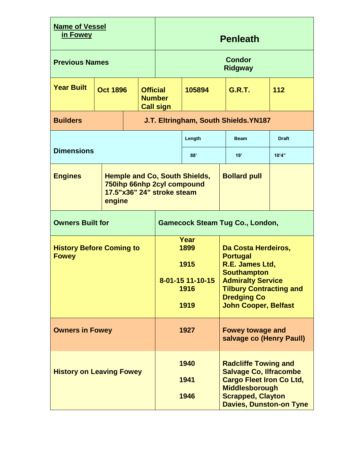| <b>Name of Vessel</b><br>in Fowey               |                                    |  | <b>Penleath</b>                 |                                                          |                                                                                                                                                                                                    |                                                     |              |     |  |  |  |  |
|-------------------------------------------------|------------------------------------|--|---------------------------------|----------------------------------------------------------|----------------------------------------------------------------------------------------------------------------------------------------------------------------------------------------------------|-----------------------------------------------------|--------------|-----|--|--|--|--|
| <b>Previous Names</b>                           |                                    |  | <b>Condor</b><br><b>Ridgway</b> |                                                          |                                                                                                                                                                                                    |                                                     |              |     |  |  |  |  |
| <b>Year Built</b>                               | <b>Oct 1896</b><br><b>Official</b> |  |                                 | <b>Number</b><br><b>Call sign</b>                        | 105894                                                                                                                                                                                             |                                                     | G.R.T.       | 112 |  |  |  |  |
| <b>Builders</b>                                 |                                    |  |                                 |                                                          |                                                                                                                                                                                                    | J.T. Eltringham, South Shields.YN187                |              |     |  |  |  |  |
|                                                 |                                    |  |                                 | Length                                                   | <b>Beam</b>                                                                                                                                                                                        |                                                     | <b>Draft</b> |     |  |  |  |  |
| <b>Dimensions</b>                               |                                    |  |                                 | 88'                                                      |                                                                                                                                                                                                    | 19'                                                 | 10'4"        |     |  |  |  |  |
| <b>Engines</b>                                  | engine                             |  |                                 | 750ihp 66nhp 2cyl compound<br>17.5"x36" 24" stroke steam | <b>Hemple and Co, South Shields,</b>                                                                                                                                                               | <b>Bollard pull</b>                                 |              |     |  |  |  |  |
| <b>Owners Built for</b>                         |                                    |  |                                 | <b>Gamecock Steam Tug Co., London,</b>                   |                                                                                                                                                                                                    |                                                     |              |     |  |  |  |  |
| <b>History Before Coming to</b><br><b>Fowey</b> |                                    |  |                                 | Year<br>1899<br>1915<br>8-01-15 11-10-15<br>1916<br>1919 | Da Costa Herdeiros,<br><b>Portugal</b><br>R.E. James Ltd,<br><b>Southampton</b><br><b>Admiralty Service</b><br><b>Tilbury Contracting and</b><br><b>Dredging Co</b><br><b>John Cooper, Belfast</b> |                                                     |              |     |  |  |  |  |
| <b>Owners in Fowey</b>                          |                                    |  |                                 |                                                          | 1927                                                                                                                                                                                               | <b>Fowey towage and</b><br>salvage co (Henry Paull) |              |     |  |  |  |  |
| <b>History on Leaving Fowey</b>                 |                                    |  |                                 | 1940<br>1941<br>1946                                     | <b>Radcliffe Towing and</b><br><b>Salvage Co, Ilfracombe</b><br><b>Cargo Fleet Iron Co Ltd,</b><br><b>Middlesborough</b><br><b>Scrapped, Clayton</b><br><b>Davies, Dunston-on Tyne</b>             |                                                     |              |     |  |  |  |  |